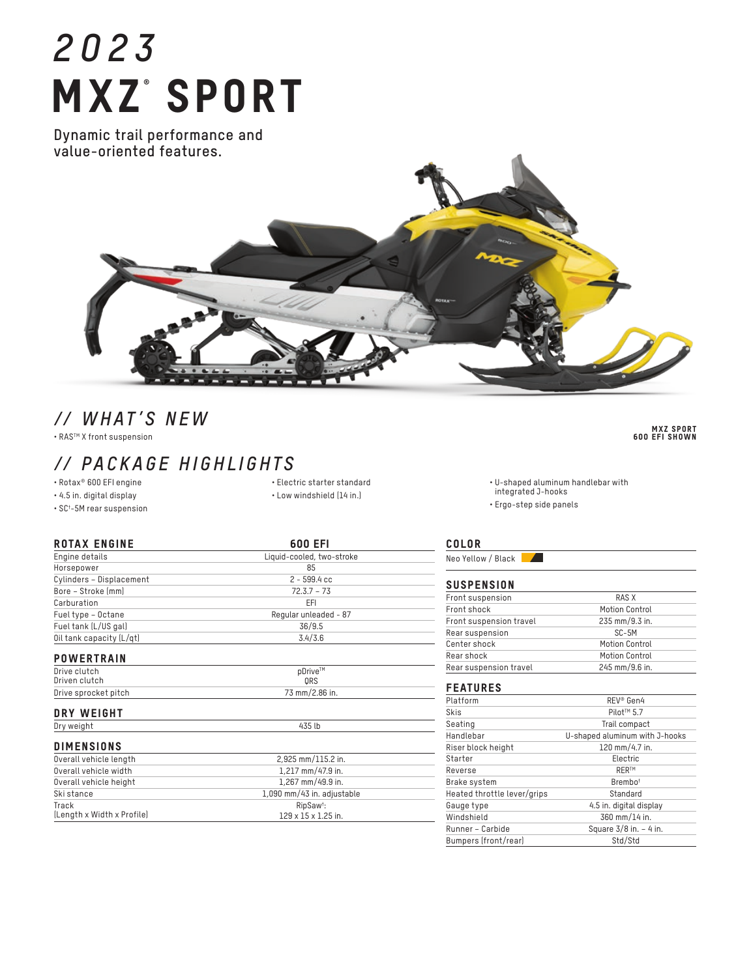# *2023* **MXZ°SPORT**

**Dynamic trail performance and value-oriented features.**



# *// WHAT'S NEW*

• RASTM X front suspension

## *// PACKAGE HIGHLIGHTS*

• Rotax® 600 EFI engine

• 4.5 in. digital display

• SC† -5M rear suspension

• Electric starter standard • Low windshield (14 in.)

| <b>ROTAX ENGINE</b>        | 600 EFI                         |
|----------------------------|---------------------------------|
| Engine details             | Liquid-cooled, two-stroke       |
| Horsepower                 | 85                              |
| Cylinders - Displacement   | $2 - 599.4$ cc                  |
| Bore - Stroke (mm)         | $72.3.7 - 73$                   |
| Carburation                | EFI                             |
| Fuel type - Octane         | Regular unleaded - 87           |
| Fuel tank (L/US gal)       | 36/9.5                          |
| Oil tank capacity (L/qt)   | 3.4/3.6                         |
| <b>POWERTRAIN</b>          |                                 |
| Drive clutch               | pDrive™                         |
| Driven clutch              | ORS                             |
| Drive sprocket pitch       | 73 mm/2.86 in.                  |
| <b>DRY WEIGHT</b>          |                                 |
| Dry weight                 | 435 lb                          |
| <b>DIMENSIONS</b>          |                                 |
| Overall vehicle length     | 2,925 mm/115.2 in.              |
| Overall vehicle width      | 1,217 mm/47.9 in.               |
| Overall vehicle height     | 1,267 mm/49.9 in.               |
| Ski stance                 | 1,090 mm/43 in. adjustable      |
| Track                      | RipSaw <sup>t</sup> :           |
| (Length x Width x Profile) | $129 \times 15 \times 1.25$ in. |

COLOR

Neo Yellow / Black

#### **SUSPENSION**

| Front suspension        | RAS X          |
|-------------------------|----------------|
| Front shock             | Motion Control |
| Front suspension travel | 235 mm/9.3 in. |
| Rear suspension         | SC-5M          |
| Center shock            | Motion Control |
| Rear shock              | Motion Control |
| Rear suspension travel  | 245 mm/9.6 in. |

• U-shaped aluminum handlebar with

integrated J-hooks • Ergo-step side panels

#### FEATURES

| Platform                    | REV <sup>®</sup> Gen4          |
|-----------------------------|--------------------------------|
| Skis                        | Pilot <sup>™</sup> 5.7         |
| Seating                     | Trail compact                  |
| Handlebar                   | U-shaped aluminum with J-hooks |
| Riser block height          | 120 mm/4.7 in.                 |
| Starter                     | Electric                       |
| Reverse                     | <b>RERTM</b>                   |
| Brake system                | Brembo <sup>t</sup>            |
| Heated throttle lever/grips | Standard                       |
| Gauge type                  | 4.5 in. digital display        |
| Windshield                  | 360 mm/14 in.                  |
| Runner - Carbide            | Square 3/8 in. - 4 in.         |
| Bumpers (front/rear)        | Std/Std                        |

MXZ SPORT 600 EFI SHOWN